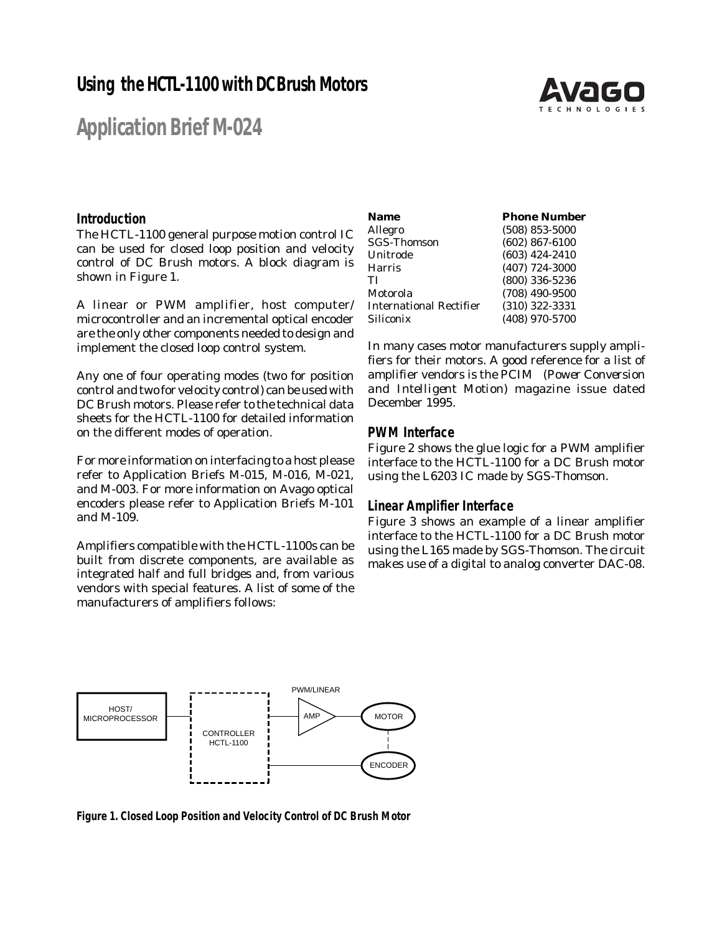## **Using the HCTL-1100 with DC Brush Motors**



# **Application Brief M-024**

### **Introduction**

The HCTL-1100 general purpose motion control IC can be used for closed loop position and velocity control of DC Brush motors. A block diagram is shown in Figure 1.

A linear or PWM amplifier, host computer/ microcontroller and an incremental optical encoder are the only other components needed to design and implement the closed loop control system.

Any one of four operating modes (two for position control and two for velocity control) can be used with DC Brush motors. Please refer to the technical data sheets for the HCTL-1100 for detailed information on the different modes of operation.

For more information on interfacing to a host please refer to Application Briefs M-015, M-016, M-021, and M-003. For more information on Avago optical encoders please refer to Application Briefs M-101 and M-109.

Amplifiers compatible with the HCTL-1100s can be built from discrete components, are available as integrated half and full bridges and, from various vendors with special features. A list of some of the manufacturers of amplifiers follows:

| Name                           | <b>Phone Number</b> |
|--------------------------------|---------------------|
| Allegro                        | $(508)$ 853-5000    |
| <b>SGS-Thomson</b>             | $(602)$ 867-6100    |
| Unitrode                       | $(603)$ 424-2410    |
| <b>Harris</b>                  | $(407)$ 724-3000    |
| ТI                             | $(800)$ 336-5236    |
| Motorola                       | $(708)$ 490-9500    |
| <b>International Rectifier</b> | $(310)$ 322-3331    |
| Siliconix                      | (408) 970-5700      |
|                                |                     |

In many cases motor manufacturers supply amplifiers for their motors. A good reference for a list of amplifier vendors is the PCIM *(Power Conversion and Intelligent Motion)* magazine issue dated December 1995.

#### **PWM Interface**

Figure 2 shows the glue logic for a PWM amplifier interface to the HCTL-1100 for a DC Brush motor using the L6203 IC made by SGS-Thomson.

### **Linear Amplifier Interface**

Figure 3 shows an example of a linear amplifier interface to the HCTL-1100 for a DC Brush motor using the L165 made by SGS-Thomson. The circuit makes use of a digital to analog converter DAC-08.



**Figure 1. Closed Loop Position and Velocity Control of DC Brush Motor**